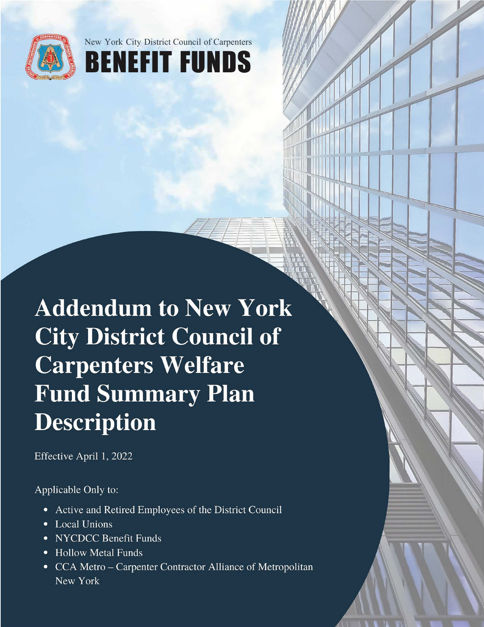



**Addendum to New York City District Council of Carpenters Welfare Fund Summary Plan Description** 

Effective April 1, 2022

Applicable Only to:

- Active and Retired Employees of the District Council
- Local Unions
- NYCDCC Benefit Funds
- Hollow Metal Funds
- CCA Metro Carpenter Contractor Alliance of Metropolitan New York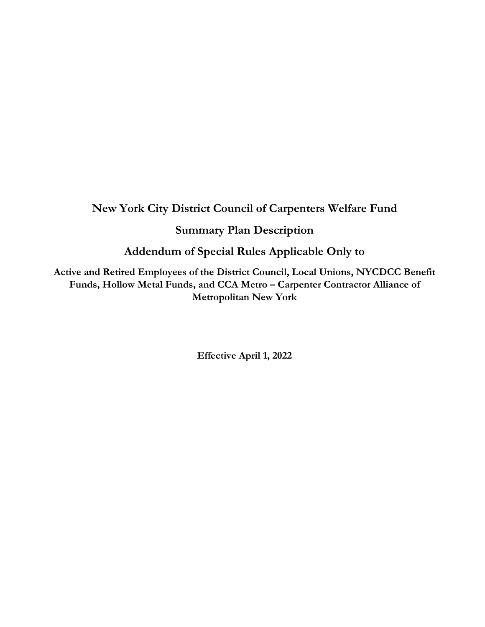# **New York City District Council of Carpenters Welfare Fund**

## **Summary Plan Description**

**Addendum of Special Rules Applicable Only to** 

**Active and Retired Employees of the District Council, Local Unions, NYCDCC Benefit Funds, Hollow Metal Funds, and CCA Metro – Carpenter Contractor Alliance of Metropolitan New York**

**Effective April 1, 2022**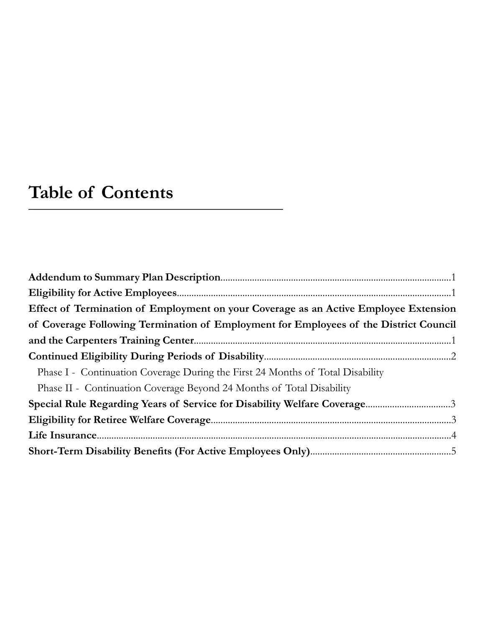# **Table of Contents**

| Effect of Termination of Employment on your Coverage as an Active Employee Extension  |
|---------------------------------------------------------------------------------------|
| of Coverage Following Termination of Employment for Employees of the District Council |
|                                                                                       |
|                                                                                       |
| Phase I - Continuation Coverage During the First 24 Months of Total Disability        |
| Phase II - Continuation Coverage Beyond 24 Months of Total Disability                 |
|                                                                                       |
|                                                                                       |
|                                                                                       |
|                                                                                       |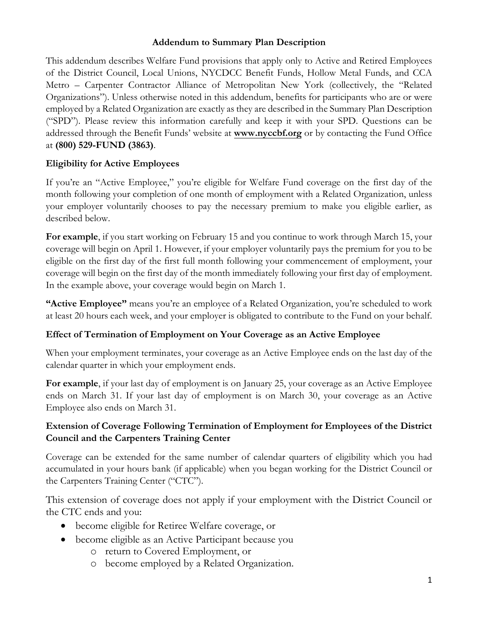#### **Addendum to Summary Plan Description**

This addendum describes Welfare Fund provisions that apply only to Active and Retired Employees of the District Council, Local Unions, NYCDCC Benefit Funds, Hollow Metal Funds, and CCA Metro – Carpenter Contractor Alliance of Metropolitan New York (collectively, the "Related Organizations"). Unless otherwise noted in this addendum, benefits for participants who are or were employed by a Related Organization are exactly as they are described in the Summary Plan Description ("SPD"). Please review this information carefully and keep it with your SPD. Questions can be addressed through the Benefit Funds' website at **www.nyccbf.org** or by contacting the Fund Office at **(800) 529-FUND (3863)**.

## **Eligibility for Active Employees**

If you're an "Active Employee," you're eligible for Welfare Fund coverage on the first day of the month following your completion of one month of employment with a Related Organization, unless your employer voluntarily chooses to pay the necessary premium to make you eligible earlier, as described below.

**For example**, if you start working on February 15 and you continue to work through March 15, your coverage will begin on April 1. However, if your employer voluntarily pays the premium for you to be eligible on the first day of the first full month following your commencement of employment, your coverage will begin on the first day of the month immediately following your first day of employment. In the example above, your coverage would begin on March 1.

**"Active Employee"** means you're an employee of a Related Organization, you're scheduled to work at least 20 hours each week, and your employer is obligated to contribute to the Fund on your behalf.

#### **Effect of Termination of Employment on Your Coverage as an Active Employee**

When your employment terminates, your coverage as an Active Employee ends on the last day of the calendar quarter in which your employment ends.

**For example**, if your last day of employment is on January 25, your coverage as an Active Employee ends on March 31. If your last day of employment is on March 30, your coverage as an Active Employee also ends on March 31.

## **Extension of Coverage Following Termination of Employment for Employees of the District Council and the Carpenters Training Center**

Coverage can be extended for the same number of calendar quarters of eligibility which you had accumulated in your hours bank (if applicable) when you began working for the District Council or the Carpenters Training Center ("CTC").

This extension of coverage does not apply if your employment with the District Council or the CTC ends and you:

- become eligible for Retiree Welfare coverage, or
- become eligible as an Active Participant because you
	- o return to Covered Employment, or
	- o become employed by a Related Organization.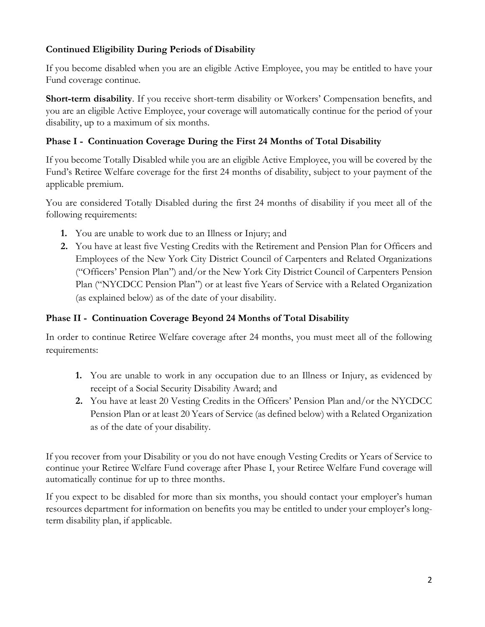## **Continued Eligibility During Periods of Disability**

If you become disabled when you are an eligible Active Employee, you may be entitled to have your Fund coverage continue.

**Short-term disability**. If you receive short-term disability or Workers' Compensation benefits, and you are an eligible Active Employee, your coverage will automatically continue for the period of your disability, up to a maximum of six months.

## **Phase I - Continuation Coverage During the First 24 Months of Total Disability**

If you become Totally Disabled while you are an eligible Active Employee, you will be covered by the Fund's Retiree Welfare coverage for the first 24 months of disability, subject to your payment of the applicable premium.

You are considered Totally Disabled during the first 24 months of disability if you meet all of the following requirements:

- **1.** You are unable to work due to an Illness or Injury; and
- **2.** You have at least five Vesting Credits with the Retirement and Pension Plan for Officers and Employees of the New York City District Council of Carpenters and Related Organizations ("Officers' Pension Plan") and/or the New York City District Council of Carpenters Pension Plan ("NYCDCC Pension Plan") or at least five Years of Service with a Related Organization (as explained below) as of the date of your disability.

## **Phase II - Continuation Coverage Beyond 24 Months of Total Disability**

In order to continue Retiree Welfare coverage after 24 months, you must meet all of the following requirements:

- **1.** You are unable to work in any occupation due to an Illness or Injury, as evidenced by receipt of a Social Security Disability Award; and
- **2.** You have at least 20 Vesting Credits in the Officers' Pension Plan and/or the NYCDCC Pension Plan or at least 20 Years of Service (as defined below) with a Related Organization as of the date of your disability.

If you recover from your Disability or you do not have enough Vesting Credits or Years of Service to continue your Retiree Welfare Fund coverage after Phase I, your Retiree Welfare Fund coverage will automatically continue for up to three months.

If you expect to be disabled for more than six months, you should contact your employer's human resources department for information on benefits you may be entitled to under your employer's longterm disability plan, if applicable.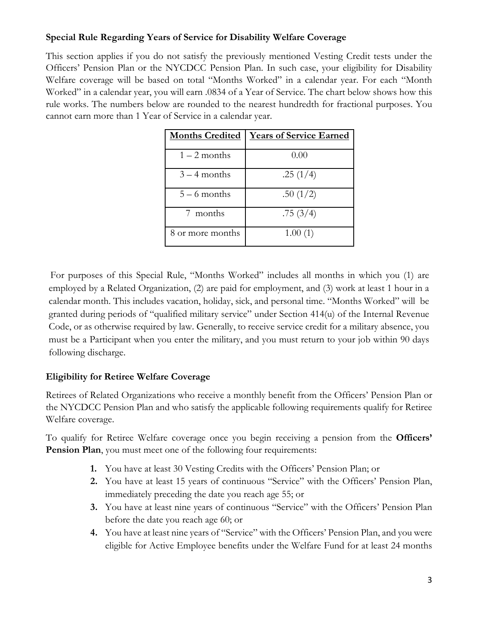## **Special Rule Regarding Years of Service for Disability Welfare Coverage**

This section applies if you do not satisfy the previously mentioned Vesting Credit tests under the Officers' Pension Plan or the NYCDCC Pension Plan. In such case, your eligibility for Disability Welfare coverage will be based on total "Months Worked" in a calendar year. For each "Month Worked" in a calendar year, you will earn .0834 of a Year of Service. The chart below shows how this rule works. The numbers below are rounded to the nearest hundredth for fractional purposes. You cannot earn more than 1 Year of Service in a calendar year.

| <b>Months Credited</b> | <b>Years of Service Earned</b> |
|------------------------|--------------------------------|
| $1-2$ months           | 0.00                           |
| $3 - 4$ months         | .25(1/4)                       |
| $5 - 6$ months         | .50(1/2)                       |
| 7 months               | .75(3/4)                       |
| 8 or more months       | 1.00(1)                        |

For purposes of this Special Rule, "Months Worked" includes all months in which you (1) are employed by a Related Organization, (2) are paid for employment, and (3) work at least 1 hour in a calendar month. This includes vacation, holiday, sick, and personal time. "Months Worked" will be granted during periods of "qualified military service" under Section 414(u) of the Internal Revenue Code, or as otherwise required by law. Generally, to receive service credit for a military absence, you must be a Participant when you enter the military, and you must return to your job within 90 days following discharge.

## **Eligibility for Retiree Welfare Coverage**

Retirees of Related Organizations who receive a monthly benefit from the Officers' Pension Plan or the NYCDCC Pension Plan and who satisfy the applicable following requirements qualify for Retiree Welfare coverage.

To qualify for Retiree Welfare coverage once you begin receiving a pension from the **Officers' Pension Plan**, you must meet one of the following four requirements:

- **1.** You have at least 30 Vesting Credits with the Officers' Pension Plan; or
- **2.** You have at least 15 years of continuous "Service" with the Officers' Pension Plan, immediately preceding the date you reach age 55; or
- **3.** You have at least nine years of continuous "Service" with the Officers' Pension Plan before the date you reach age 60; or
- **4.** You have at least nine years of "Service" with the Officers' Pension Plan, and you were eligible for Active Employee benefits under the Welfare Fund for at least 24 months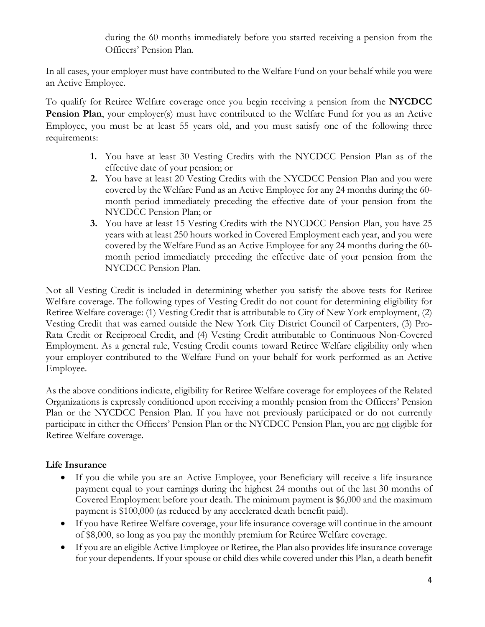during the 60 months immediately before you started receiving a pension from the Officers' Pension Plan.

In all cases, your employer must have contributed to the Welfare Fund on your behalf while you were an Active Employee.

To qualify for Retiree Welfare coverage once you begin receiving a pension from the **NYCDCC Pension Plan**, your employer(s) must have contributed to the Welfare Fund for you as an Active Employee, you must be at least 55 years old, and you must satisfy one of the following three requirements:

- **1.** You have at least 30 Vesting Credits with the NYCDCC Pension Plan as of the effective date of your pension; or
- **2.** You have at least 20 Vesting Credits with the NYCDCC Pension Plan and you were covered by the Welfare Fund as an Active Employee for any 24 months during the 60 month period immediately preceding the effective date of your pension from the NYCDCC Pension Plan; or
- **3.** You have at least 15 Vesting Credits with the NYCDCC Pension Plan, you have 25 years with at least 250 hours worked in Covered Employment each year, and you were covered by the Welfare Fund as an Active Employee for any 24 months during the 60 month period immediately preceding the effective date of your pension from the NYCDCC Pension Plan.

Not all Vesting Credit is included in determining whether you satisfy the above tests for Retiree Welfare coverage. The following types of Vesting Credit do not count for determining eligibility for Retiree Welfare coverage: (1) Vesting Credit that is attributable to City of New York employment, (2) Vesting Credit that was earned outside the New York City District Council of Carpenters, (3) Pro-Rata Credit or Reciprocal Credit, and (4) Vesting Credit attributable to Continuous Non-Covered Employment. As a general rule, Vesting Credit counts toward Retiree Welfare eligibility only when your employer contributed to the Welfare Fund on your behalf for work performed as an Active Employee.

As the above conditions indicate, eligibility for Retiree Welfare coverage for employees of the Related Organizations is expressly conditioned upon receiving a monthly pension from the Officers' Pension Plan or the NYCDCC Pension Plan. If you have not previously participated or do not currently participate in either the Officers' Pension Plan or the NYCDCC Pension Plan, you are not eligible for Retiree Welfare coverage.

## **Life Insurance**

- If you die while you are an Active Employee, your Beneficiary will receive a life insurance payment equal to your earnings during the highest 24 months out of the last 30 months of Covered Employment before your death. The minimum payment is \$6,000 and the maximum payment is \$100,000 (as reduced by any accelerated death benefit paid).
- If you have Retiree Welfare coverage, your life insurance coverage will continue in the amount of \$8,000, so long as you pay the monthly premium for Retiree Welfare coverage.
- If you are an eligible Active Employee or Retiree, the Plan also provides life insurance coverage for your dependents. If your spouse or child dies while covered under this Plan, a death benefit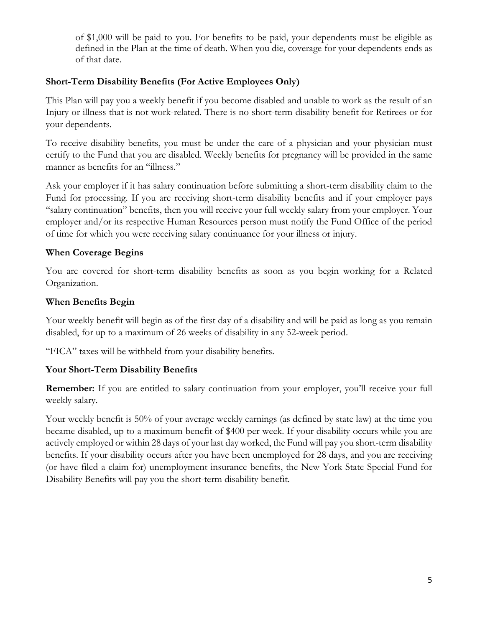of \$1,000 will be paid to you. For benefits to be paid, your dependents must be eligible as defined in the Plan at the time of death. When you die, coverage for your dependents ends as of that date.

#### **Short-Term Disability Benefits (For Active Employees Only)**

This Plan will pay you a weekly benefit if you become disabled and unable to work as the result of an Injury or illness that is not work-related. There is no short-term disability benefit for Retirees or for your dependents.

To receive disability benefits, you must be under the care of a physician and your physician must certify to the Fund that you are disabled. Weekly benefits for pregnancy will be provided in the same manner as benefits for an "illness."

Ask your employer if it has salary continuation before submitting a short-term disability claim to the Fund for processing. If you are receiving short-term disability benefits and if your employer pays "salary continuation" benefits, then you will receive your full weekly salary from your employer. Your employer and/or its respective Human Resources person must notify the Fund Office of the period of time for which you were receiving salary continuance for your illness or injury.

## **When Coverage Begins**

You are covered for short-term disability benefits as soon as you begin working for a Related Organization.

## **When Benefits Begin**

Your weekly benefit will begin as of the first day of a disability and will be paid as long as you remain disabled, for up to a maximum of 26 weeks of disability in any 52-week period.

"FICA" taxes will be withheld from your disability benefits.

## **Your Short-Term Disability Benefits**

**Remember:** If you are entitled to salary continuation from your employer, you'll receive your full weekly salary.

Your weekly benefit is 50% of your average weekly earnings (as defined by state law) at the time you became disabled, up to a maximum benefit of \$400 per week. If your disability occurs while you are actively employed or within 28 days of your last day worked, the Fund will pay you short-term disability benefits. If your disability occurs after you have been unemployed for 28 days, and you are receiving (or have filed a claim for) unemployment insurance benefits, the New York State Special Fund for Disability Benefits will pay you the short-term disability benefit.